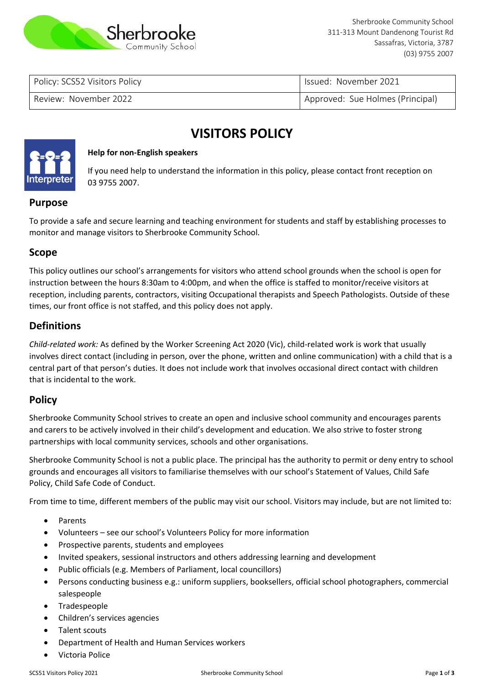

Policy: SCS52 Visitors Policy **Issued: November 2021** 

Review: November 2022 **Approved: Sue Holmes (Principal)** Approved: Sue Holmes (Principal)

# **VISITORS POLICY**



#### **Help for non-English speakers**

If you need help to understand the information in this policy, please contact front reception on 03 9755 2007.

# **Purpose**

To provide a safe and secure learning and teaching environment for students and staff by establishing processes to monitor and manage visitors to Sherbrooke Community School.

## **Scope**

This policy outlines our school's arrangements for visitors who attend school grounds when the school is open for instruction between the hours 8:30am to 4:00pm, and when the office is staffed to monitor/receive visitors at reception, including parents, contractors, visiting Occupational therapists and Speech Pathologists. Outside of these times, our front office is not staffed, and this policy does not apply.

# **Definitions**

*Child-related work:* As defined by the Worker Screening Act 2020 (Vic), child-related work is work that usually involves direct contact (including in person, over the phone, written and online communication) with a child that is a central part of that person's duties. It does not include work that involves occasional direct contact with children that is incidental to the work.

## **Policy**

Sherbrooke Community School strives to create an open and inclusive school community and encourages parents and carers to be actively involved in their child's development and education. We also strive to foster strong partnerships with local community services, schools and other organisations.

Sherbrooke Community School is not a public place. The principal has the authority to permit or deny entry to school grounds and encourages all visitors to familiarise themselves with our school's Statement of Values, Child Safe Policy, Child Safe Code of Conduct.

From time to time, different members of the public may visit our school. Visitors may include, but are not limited to:

- **Parents**
- Volunteers see our school's Volunteers Policy for more information
- Prospective parents, students and employees
- Invited speakers, sessional instructors and others addressing learning and development
- Public officials (e.g. Members of Parliament, local councillors)
- Persons conducting business e.g.: uniform suppliers, booksellers, official school photographers, commercial salespeople
- **Tradespeople**
- Children's services agencies
- Talent scouts
- Department of Health and Human Services workers
- Victoria Police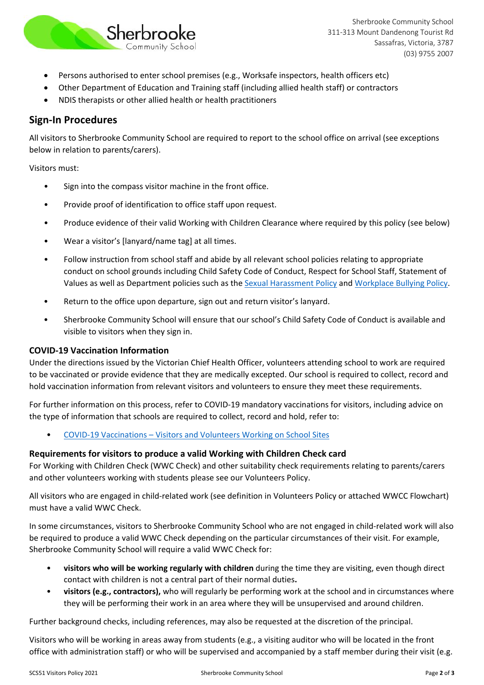

- Persons authorised to enter school premises (e.g., Worksafe inspectors, health officers etc)
- Other Department of Education and Training staff (including allied health staff) or contractors
- NDIS therapists or other allied health or health practitioners

# **Sign-In Procedures**

All visitors to Sherbrooke Community School are required to report to the school office on arrival (see exceptions below in relation to parents/carers).

Visitors must:

- Sign into the compass visitor machine in the front office.
- Provide proof of identification to office staff upon request.
- Produce evidence of their valid Working with Children Clearance where required by this policy (see below)
- Wear a visitor's [lanyard/name tag] at all times.
- Follow instruction from school staff and abide by all relevant school policies relating to appropriate conduct on school grounds including Child Safety Code of Conduct, Respect for School Staff, Statement of Values as well as Department policies such as the [Sexual Harassment Policy](https://www2.education.vic.gov.au/pal/sexual-harassment/overview) and [Workplace Bullying Policy.](https://www2.education.vic.gov.au/pal/workplace-bullying/policy)
- Return to the office upon departure, sign out and return visitor's lanyard.
- Sherbrooke Community School will ensure that our school's Child Safety Code of Conduct is available and visible to visitors when they sign in.

## **COVID-19 Vaccination Information**

Under the directions issued by the Victorian Chief Health Officer, volunteers attending school to work are required to be vaccinated or provide evidence that they are medically excepted. Our school is required to collect, record and hold vaccination information from relevant visitors and volunteers to ensure they meet these requirements.

For further information on this process, refer to COVID-19 mandatory vaccinations for visitors, including advice on the type of information that schools are required to collect, record and hold, refer to:

• COVID-19 Vaccinations – [Visitors and Volunteers Working on School Sites](https://www2.education.vic.gov.au/pal/covid-19-vaccinations-visitors-volunteers/policy)

## **Requirements for visitors to produce a valid Working with Children Check card**

For Working with Children Check (WWC Check) and other suitability check requirements relating to parents/carers and other volunteers working with students please see our Volunteers Policy.

All visitors who are engaged in child-related work (see definition in Volunteers Policy or attached WWCC Flowchart) must have a valid WWC Check.

In some circumstances, visitors to Sherbrooke Community School who are not engaged in child-related work will also be required to produce a valid WWC Check depending on the particular circumstances of their visit. For example, Sherbrooke Community School will require a valid WWC Check for:

- **visitors who will be working regularly with children** during the time they are visiting, even though direct contact with children is not a central part of their normal duties**.**
- **visitors (e.g., contractors),** who will regularly be performing work at the school and in circumstances where they will be performing their work in an area where they will be unsupervised and around children.

Further background checks, including references, may also be requested at the discretion of the principal.

Visitors who will be working in areas away from students (e.g., a visiting auditor who will be located in the front office with administration staff) or who will be supervised and accompanied by a staff member during their visit (e.g.